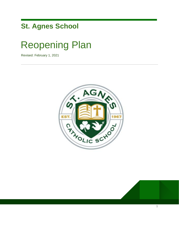# **St. Agnes School**

# Reopening Plan

Revised: February 1, 2021



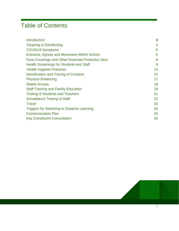# Table of Contents

| <b>Introduction</b>                                | $\overline{\mathbf{3}}$ |
|----------------------------------------------------|-------------------------|
| <b>Cleaning &amp; Disinfecting</b>                 | $\overline{4}$          |
| <b>COVID19 Symptoms</b>                            | 5                       |
| Entrance, Egress and Movement Within School        | 6                       |
| Face Coverings and Other Essential Protective Gear | 8                       |
| <b>Health Screenings for Students and Staff</b>    | 9                       |
| <b>Health Hygiene Practices</b>                    | 13                      |
| <b>Identification and Tracing of Contacts</b>      | 15                      |
| <b>Physical Distancing</b>                         | 17                      |
| <b>Stable Groups</b>                               | 18                      |
| <b>Staff Training and Family Education</b>         | 19                      |
| <b>Testing of Students and Teachers</b>            | 21                      |
| <b>Surveillance Testing of Staff</b>               | 22                      |
| <b>Travel</b>                                      | 23                      |
| <b>Triggers for Switching to Distance Learning</b> | 24                      |
| <b>Communication Plan</b>                          | 25                      |
| <b>Key Constituent Consultation</b>                | 26                      |
|                                                    |                         |

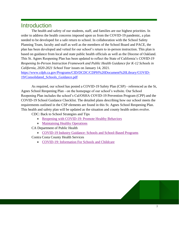# **Introduction**

The health and safety of our students, staff, and families are our highest priorities. In order to address the health concerns imposed upon us from the COVID-19 pandemic, a plan needed to be developed for a safe return to school. In collaboration with the School Safety Planning Team, faculty and staff as well as the members of the School Board and PACE, the plan has been developed and vetted for our school's return to in-person instruction. This plan is based on guidance from local and state public health officials as well as the Diocese of Oakland. This St. Agnes Reopening Plan has been updated to reflect the State of California's *COVID-19 Reopening In-Person Instruction Framework and Public Health Guidance for K-12 Schools in California, 2020-2021 School Year* issues on January 14, 2021.

[https://www.cdph.ca.gov/Programs/CID/DCDC/CDPH%20Document%20Library/COVID-](https://www.cdph.ca.gov/Programs/CID/DCDC/CDPH%20Document%20Library/COVID-19/Consolidated_Schools_Guidance.pdf)[19/Consolidated\\_Schools\\_Guidance.pdf](https://www.cdph.ca.gov/Programs/CID/DCDC/CDPH%20Document%20Library/COVID-19/Consolidated_Schools_Guidance.pdf)

As required, our school has posted a COVID-19 Safety Plan (CSP) - referenced as the St, Agnes School Reopening Plan - on the homepage of our school's website. Our School Reopening Plan includes the school's Cal/OSHA COVID-19 Prevention Program (CPP) and the COVID-19 School Guidance Checklist. The detailed plans describing how our school meets the requirements outlined in the CSP elements are found in this St. Agnes School Reopening Plan. This health and safety plan will be updated as the situation and county health orders evolve.

CDC: Back to School Strategies and Tips

- [Reopening with COVID-19: Promote Healthy Behaviors](https://www.youtube.com/watch?v=tCD7Z5oRvts)
- [Maintaining Healthy Operations](https://www.youtube.com/watch?v=jZuv1fi7Jsc)

CA Department of Public Health

• [COVID-19 Industry Guidance: Schools and School-Based Programs](https://files.covid19.ca.gov/pdf/guidance-schools.pdf)

Contra Costa County Health Services

● [COVID-19: Information For Schools and Childcare](https://www.coronavirus.cchealth.org/for-schools-and-childcare)

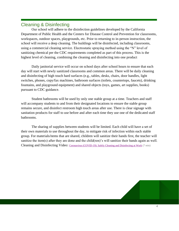## <span id="page-3-0"></span>Cleaning & Disinfecting

Our school will adhere to the disinfection guidelines developed by the California Department of Public Health and the Centers for Disease Control and Prevention for classrooms, workspaces, outdoor spaces, playgrounds, etc. Prior to returning to in-person instruction, the school will receive a deep cleaning. The buildings will be disinfected, including classrooms, using a commercial cleaning service. Electrostatic spraying method using the "N" level of sanitizing chemical per the CDC requirements completed as part of this process. This is the highest level of cleaning, combining the cleaning and disinfecting into one product

Daily janitorial service will occur on school days after school hours to ensure that each day will start with newly sanitized classrooms and common areas. There will be daily cleaning and disinfecting of high touch hard surfaces (e.g., tables, desks, chairs, door handles, light switches, phones, copy/fax machines, bathroom surfaces (toilets, countertops, faucets), drinking fountains, and playground equipment) and shared objects (toys, games, art supplies, books) pursuant to CDC guidance.

Student bathrooms will be used by only one stable group at a time. Teachers and staff will accompany students to and from their designated locations to ensure the stable group remains secure, and disinfect restroom high touch areas after use. There is clear signage with sanitation products for staff to use before and after each time they use one of the dedicated staff bathrooms.

The sharing of supplies between students will be limited. Each child will have a set of their own materials to use throughout the day, to mitigate risk of infection within each stable group. For materials/items that are shared, children will sanitize their hands first, the teacher will sanitize the item(s) after they are done and the child(ren)'s will sanitize their hands again as well. Cleaning and Disinfecting Video: [Coronavirus \(COVID-19\): Safely Cleaning and Disinfecting at Work](https://www.youtube.com/watch?v=tbGvwmeyVO4) (7 min)

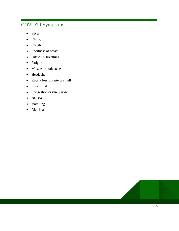# COVID19 Symptoms

- Fever
- Chills,
- Cough
- Shortness of breath
- Difficulty breathing
- Fatigue
- Muscle or body aches
- Headache
- Recent loss of taste or smell
- Sore throat
- Congestion or runny nose,
- Nausea
- Vomiting
- Diarrhea.

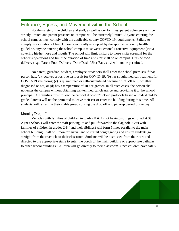#### Entrance, Egress, and Movement within the School

For the safety of the children and staff, as well as our families, parent volunteers will be strictly limited and parent presence on campus will be extremely limited. Anyone entering the school campus must comply with the applicable county COVID-19 requirements. Failure to comply is a violation of law. Unless specifically exempted by the applicable county health guideline, anyone entering the school campus must wear Personal Protective Equipment (PPE) covering his/her nose and mouth. The school will limit visitors to those visits essential for the school's operations and limit the duration of time a visitor shall be on campus. Outside food delivery (e.g., Parent Food Delivery, Door Dash, Uber Eats, etc.) will not be permitted.

No parent, guardian, student, employee or visitors shall enter the school premises if that person has: (a) received a positive test result for COVID-19; (b) has sought medical treatment for COVID-19 symptoms; (c) is quarantined or self-quarantined because of COVID-19, whether diagnosed or not; or (d) has a temperature of 100 or greater. In all such cases, the person shall not enter the campus without obtaining written medical clearance and providing it to the school principal. All families must follow the carpool drop-off/pick-up protocols based on oldest child's grade. Parents will not be permitted to leave their car or enter the building during this time. All students will remain in their stable groups during the drop off and pick-up period of the day.

#### Morning Drop-off:

Vehicles with families of children in grades  $K & 1$  (not having siblings enrolled at St. Agnes School) will enter the staff parking lot and pull forward to the flag pole. Cars with families of children in grades 2-8 ( and their siblings) will form 5 lines parallel to the main school building. Staff will monitor arrival and to curtail congregating and ensure students go straight from their vehicle to their classroom. Students will be dismissed from their cars and directed to the appropriate stairs to enter the porch of the main building or appropriate pathway to other school buildings. Children will go directly to their classroom. Once children have safely

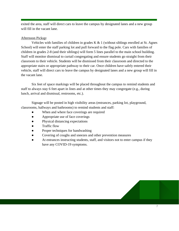exited the area, staff will direct cars to leave the campus by designated lanes and a new group will fill in the vacant lane.

#### Afternoon Pickup:

Vehicles with families of children in grades K & 1 (without siblings enrolled at St. Agnes School) will enter the staff parking lot and pull forward to the flag pole. Cars with families of children in grades 2-8 (and their siblings) will form 5 lines parallel to the main school building. Staff will monitor dismissal to curtail congregating and ensure students go straight from their classroom to their vehicle. Students will be dismissed from their classroom and directed to the appropriate stairs or appropriate pathway to their car. Once children have safely entered their vehicle, staff will direct cars to leave the campus by designated lanes and a new group will fill in the vacant lane.

Six feet of space markings will be placed throughout the campus to remind students and staff to always stay 6 feet apart in lines and at other times they may congregate (e.g., during lunch, arrival and dismissal, restrooms, etc.).

Signage will be posted in high visibility areas (entrances, parking lot, playground, classrooms, hallways and bathrooms) to remind students and staff:

- When and where face coverings are required
- Appropriate use of face coverings
- Physical distancing expectations
- Traffic flow
- Proper techniques for handwashing
- Covering of coughs and sneezes and other prevention measures
- At entrances instructing students, staff, and visitors not to enter campus if they have any COVID-19 symptoms.

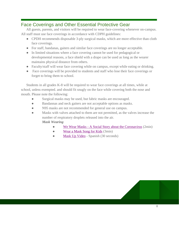# Face Coverings and Other Essential Protective Gear

All guests, parents, and visitors will be required to wear face-covering whenever on-campus. All staff must use face coverings in accordance with CDPH guidelines:

- CPDH recommends disposable 3-ply surgical masks, which are more effective than cloth face coverings.
- For staff, bandanas, gaiters and similar face coverings are no longer acceptable.
- In limited situations where a face covering cannot be used for pedagogical or developmental reasons, a face shield with a drape can be used as long as the wearer maintains physical distance from others.
- Faculty/staff will wear face covering while on campus, except while eating or drinking.
- Face coverings will be provided to students and staff who lose their face coverings or forget to bring them to school.

Students in all grades K-8 will be required to wear face coverings at all times, while at school, unless exempted. and should fit snugly on the face while covering both the nose and mouth. Please note the following:

- Surgical masks may be used, but fabric masks are encouraged.
- Bandannas and neck gaiters are not acceptable options as masks.
- N95 masks are not recommended for general use on campus.

● Masks with valves attached to them are not permitted, as the valves increase the number of respiratory droplets released into the air. *Mask Wearing*

- We Wear Masks [A Social Story about the Coronavirus](https://www.youtube.com/watch?v=lnP-uMn6q_U) (2min)
- [Wear a Mask Song for Kids](https://www.youtube.com/watch?v=a9QTxUklE0w) (3min)
- [Mask Up Video](https://www.youtube.com/watch?v=CVe_m24K0uk) Spanish (30 seconds)

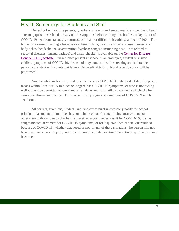### Health Screenings for Students and Staff

Our school will require parents, guardians, students and employees to answer basic health screening questions related to COVID-19 symptoms before coming to school each day. A list of COVID-19 symptoms (a cough; shortness of breath or difficulty breathing; a fever of 100.4°F or higher or a sense of having a fever; a sore throat; chills; new loss of taste or smell; muscle or body aches; headache; nausea/vomiting/diarrhea; congestion/running nose – not related to seasonal allergies; unusual fatigue) and a self-checker is available on the [Center for Disease](https://www.cdc.gov/coronavirus/2019-ncov/symptoms-testing)  [Control \(CDC\) website.](https://www.cdc.gov/coronavirus/2019-ncov/symptoms-testing) Further, once present at school, if an employee, student or visitor exhibits symptoms of COVID-19, the school may conduct health screening and isolate the person, consistent with county guidelines. (No medical testing, blood or saliva draw will be performed.)

Anyone who has been exposed to someone with COVID-19 in the past 14 days (exposure means within 6 feet for 15-minutes or longer), has COVID-19 symptoms, or who is not feeling well will not be permitted on our campus. Students and staff will also conduct self-checks for symptoms throughout the day. Those who develop signs and symptoms of COVID-19 will be sent home.

All parents, guardians, students and employees must immediately notify the school principal if a student or employee has come into contact (through living arrangements or otherwise) with any person that has: (a) received a positive test result for COVID-19; (b) has sought medical treatment for COVID-19 symptoms; or (c) is quarantined or self- quarantined because of COVID-19, whether diagnosed or not. In any of these situations, the person will not be allowed on school property, until the minimum county isolation/quarantine requirements have been met.

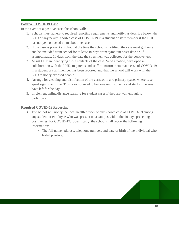#### **Positive COVID-19 Case**

In the event of a positive case, the school will:

- 1. Schools must adhere to required reporting requirements and notify, as describe below, the LHD of any newly reported case of COVID-19 in a student or staff member if the LHD has not yet contacted them about the case,
- 2. If the case is present at school at the time the school is notified, the case must go home and be excluded from school for at least 10 days from symptom onset date or, if asymptomatic, 10 days from the date the specimen was collected for the positive test.
- 3. Assist LHD in identifying close contacts of the case. Send a notice, developed in collaboration with the LHD, to parents and staff to inform them that a case of COVID-19 in a student or staff member has been reported and that the school will work with the LHD to notify exposed people.
- 4. Arrange for cleaning and disinfection of the classroom and primary spaces where case spent significant time. This does not need to be done until students and staff in the area have left for the day.
- 5. Implement online/distance learning for student cases if they are well enough to participate.

#### **Required COVID-19 Reporting**

- The school will notify the local health officer of any known case of COVID-19 among any student or employee who was present on a campus within the 10 days preceding a positive test for COVID-19. Specifically, the school shall report the following information:
	- The full name, address, telephone number, and date of birth of the individual who tested positive;

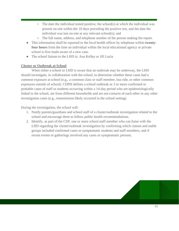- $\circ$  The date the individual tested positive, the school(s) at which the individual was present on-site within the 10 days preceding the positive test, and the date the individual was last on-site at any relevant school(s); and
- The full name, address, and telephone number of the person making the report.
- This information shall be reported to the local health officer by telephone within **twenty four hours** from the time an individual within the local educational agency or private school is first made aware of a new case.
- The school liaison to the LHD is: Ana Kelley or Jill Lucia

#### **Cluster or Outbreak at School**

When either a school or LHD is aware that an outbreak may be underway, the LHD should investigate, in collaboration with the school, to determine whether these cases had a common exposure at school (e.g., a common class or staff member, bus ride, or other common exposures outside of school). CDPH defines a school outbreak as 3 or more confirmed or probable cases of staff or students occurring within a 14-day period who are epidemiologically linked in the school, are from different households and are not contacts of each other in any other investigation cases (e.g., transmission likely occurred in the school setting).

During the investigation, the school will:

- 1. Notify parents/guardians and school staff of a cluster/outbreak investigation related to the school and encourage them to follow public health recommendations.
- 2. Identify, as part of the CSP, one or more school staff member who can liaise with the LHD regarding the cluster/outbreak investigation by confirming which classes and stable groups included confirmed cases or symptomatic students and staff members, and if recent events or gatherings involved any cases or symptomatic persons.

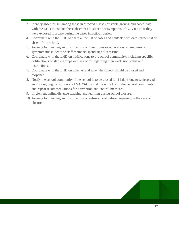- 3. Identify absenteeism among those in affected classes or stable groups, and coordinate with the LHD to contact these absentees to screen for symptoms of COVID-19 if they were exposed to a case during the cases infectious period.
- 4. Coordinate with the LHD to share a line list of cases and contacts with dates present at or absent from school.
- 5. Arrange for cleaning and disinfection of classrooms or other areas where cases or symptomatic students or staff members spend significant time.
- 6. Coordinate with the LHD on notifications to the school community, including specific notifications of stable groups or classrooms regarding their exclusion status and instructions.
- 7. Coordinate with the LHD on whether and when the school should be closed and reopened.
- 8. Notify the school community if the school is to be closed for 14 days due to widespread and/or ongoing transmission of SARS-CoV2 at the school or in the general community, and repeat recommendations for prevention and control measures.
- 9. Implement online/distance teaching and learning during school closure.
- 10. Arrange for cleaning and disinfection of entire school before reopening in the case of closure.

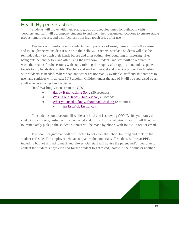#### Health Hygiene Practices

Students will move with their stable group at scheduled times for bathroom visits. Teachers and staff will accompany students to and from their designated locations to ensure stable groups remain secure, and disinfect restroom high touch areas after use.

Teachers will reinforce with students the importance of using tissues to wipe their nose and to cough/sneeze inside a tissue or in their elbow. Teachers, staff and students will also be reminded daily to wash their hands before and after eating; after coughing or sneezing; after being outside; and before and after using the restroom. Students and staff will be required to wash their hands for 20 seconds with soap, rubbing thoroughly after application, and use paper towels to dry hands thoroughly. Teachers and staff will model and practice proper handwashing with students as needed. Where soap and water are not readily available, staff and students are to use hand sanitizer with at least 60% alcohol. Children under the age of 9 will be supervised by an adult whenever using hand sanitizer.

Hand Washing Videos from the CDC

- [Happy Handwashing Song](https://youtu.be/kHPQrYthn6M) (30 seconds)
- [Wash Your Hands-Child Video](https://youtu.be/qJG72sycQB8) (30 seconds)
- [What you need to know about handwashing](https://youtu.be/fpXh2XHwMmE) (2 minutes)
	- [En Español, En français](https://www.youtube.com/watch?v=e3CPf6xhv9g)

If a student should become ill while at school and is showing COVID-19 symptoms, the student's parent or guardian will be contacted and notified of the situation. Parents will then have to immediately pick up the student. Contact will be made by phone, with follow up text or email.

The parent or guardian will be directed to not enter the school building and pick up the student curbside. The employee who accompanies the potentially ill student, will wear PPE, including but not limited to mask and gloves. Our staff will advise the parent and/or guardian to contact the student's physician and for the student to get tested, isolate in their home or another

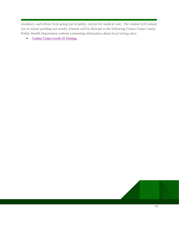residence, and refrain from going out in public, except for medical care. The student will remain out of school pending test results. Parents will be directed to the following Contra Costa County Public Health Department website containing information about local testing sites:

• [Contra Costa Covid-19 Testing.](https://www.coronavirus.cchealth.org/get-tested)

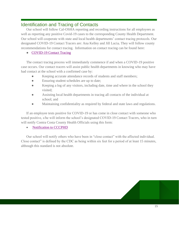#### Identification and Tracing of Contacts

Our school will follow Cal-OSHA reporting and recording instructions for all employees as well as reporting any positive Covid-19 cases to the corresponding County Health Department. Our school will cooperate with state and local health departments' contact tracing protocols. Our designated COVID-19 Contact Tracers are: Ana Kelley and Jill Lucia*.* They will follow county recommendations for contact tracing. Information on contact tracing can be found here[:](https://covid19.ca.gov/contact-tracing/)

• [COVID-19 Contact Tracing](https://covid19.ca.gov/contact-tracing/)

The contact tracing process will immediately commence if and when a COVID-19 positive case occurs. Our contact tracers will assist public health departments in knowing who may have had contact at the school with a confirmed case by:

- Keeping accurate attendance records of students and staff members;
- Ensuring student schedules are up to date;
- Keeping a log of any visitors, including date, time and where in the school they visited;
- Assisting local health departments in tracing all contacts of the individual at school; and
- Maintaining confidentiality as required by federal and state laws and regulations.

If an employee tests positive for COVID-19 or has come in close contact with someone who tested positive, s/he will inform the school's designated COVID-19 Contact Tracers, who in turn will notify Contra Costa County Health Officials using this form:

• [Notification to CCCPHD](https://cchealth.org/covid19/providers/pdf/cmr-covid19.pdf)

Our school will notify others who have been in "close contact" with the affected individual. Close contact" is defined by the CDC as being within six feet for a period of at least 15 minutes, although this standard is not absolute.

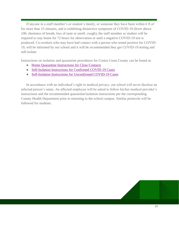If anyone in a staff member's or student's family, or someone they have been within 6 ft of for more than 15 minutes, and is exhibiting distinctive symptoms of COVID-19 (fever above 100, shortness of breath, loss of taste or smell, cough), the staff member or student will be required to stay home for 72 hours for observation or until a negative COVID-19 test is produced. Co-workers who may have had contact with a person who tested positive for COVID-19, will be informed by our school and it will be recommended they get COVID-19 testing and self-isolate

Instructions on isolation and quarantine procedures for Contra Costa County can be found at:

- [Home Quarantine Instructions for Close Contacts](https://813dcad3-2b07-4f3f-a25e-23c48c566922.filesusr.com/ugd/84606e_35972c46450d4ed384fed499d9132ead.pdf)
- [Self-Isolation Instructions for Confirmed COVID-19 Cases](https://813dcad3-2b07-4f3f-a25e-23c48c566922.filesusr.com/ugd/84606e_1771ba8396c8490b8b034a028340fc0e.pdf)
- [Self-Isolation Instructions for Unconfirmed COVID-19 Cases](https://813dcad3-2b07-4f3f-a25e-23c48c566922.filesusr.com/ugd/84606e_47306c1b290f49239be2de094830e3ee.pdf)

In accordance with an individual's right to medical privacy, our school will never disclose an infected person's name. An affected employee will be asked to follow his/her medical provider's instructions and the recommended quarantine/isolation instructions per the corresponding County Health Department prior to returning to the school campus. Similar protocols will be followed for students.

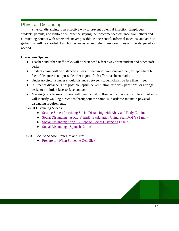## Physical Distancing

Physical distancing is an effective way to prevent potential infection. Employees, students, parents, and visitors will practice staying the recommended distance from others and eliminating contact with others whenever possible. Nonessential, informal meetups, and ad-hoc gatherings will be avoided. Lunchtimes, recesses and other transition times will be staggered as needed.

#### **Classroom Spaces:**

- Teacher and other staff desks will be distanced 6 feet away from student and other staff desks.
- Student chairs will be distanced at least 6 feet away from one another, except where 6 feet of distance is not possible after a good-faith effort has been made.
- Under no circumstances should distance between student chairs be less than 4 feet.
- If 6 feet of distance is not possible, optimize ventilation, use desk partitions, or arrange desks to minimize face-to-face contact.
- Markings on classroom floors will identify traffic flow in the classrooms. Floor markings will identify walking directions throughout the campus in order to maintain physical distancing requirements.

Social Distancing Videos

- [Sesame Street: Practicing Social Distancing with Abby and Rudy](https://www.youtube.com/watch?v=dsScsu_s8FY) (2 min)
- Social Distancing [A Kid-Friendly Explanation Using BrainPOP's](https://www.youtube.com/watch?v=FvTZv31eRp0) (3 min)
- Social Distancing Song [5 Steps on Social Distancing](https://www.youtube.com/watch?v=lpmKWPQuSRU) (2 min)
- [Social Distancing -](https://www.youtube.com/watch?v=YIK00X9WjDI) Spanish (2 min)

CDC: Back to School Strategies and Tips

• [Prepare for When Someone Gets Sick](https://www.youtube.com/watch?v=AdbV4PimWnM)

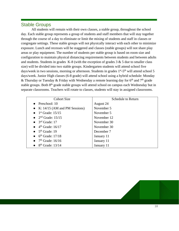#### Stable Groups

All students will remain with their own classes, a stable group, throughout the school day. Each stable group represents a group of students and staff members that will stay together through the course of a day to eliminate or limit the mixing of students and staff in classes or congregate settings. These stable groups will not physically interact with each other to minimize exposure. Lunch and recesses will be staggered and classes (stable groups) will not share play areas or play equipment. The number of students per stable group is based on room size and configuration to maintain physical distancing requirements between students and between adults and students. Students in grades  $K-8$  (with the exception of grades  $3 & 5$  due to smaller class size) will be divided into two stable groups. Kindergarten students will attend school five days/week in two sessions, morning or afternoon. Students in grades 1<sup>st</sup>-5<sup>th</sup> will attend school 5 days/week. Junior High classes (6-8 grade) will attend school using a hybrid schedule: Monday & Thursday or Tuesday & Friday with Wednesday a remote learning day for  $6<sup>th</sup>$  and  $7<sup>th</sup>$  grade stable groups. Both 8<sup>th</sup> grade stable groups will attend school on campus each Wednesday but in separate classrooms. Teachers will rotate to classes, students will stay in assigned classrooms.

| <b>Cohort Size</b>                     | <b>Schedule to Return</b> |
|----------------------------------------|---------------------------|
| $\bullet$ Preschool: 10                | August 24                 |
| • K: $14/15$ (AM and PM Sessions)      | November 5                |
| $\bullet$ 1 <sup>st</sup> Grade: 15/15 | November 5                |
| • $2nd$ Grade: 15/15                   | November 12               |
| $\bullet$ 3 <sup>rd</sup> Grade: 17    | November 30               |
| $\bullet$ 4 <sup>th</sup> Grade: 16/17 | November 30               |
| $\bullet$ 5 <sup>th</sup> Grade: 19    | December 7                |
| $\bullet$ 6 <sup>th</sup> Grade: 17/18 | January 11                |
| $7th$ Grade: 16/16                     | January 11                |
| $8th$ Grade: 13/14                     | January 11                |

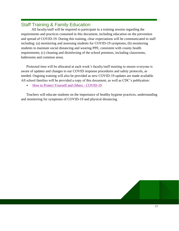## Staff Training & Family Education

All faculty/staff will be required to participate in a training session regarding the requirements and practices contained in this document, including education on the prevention and spread of COVID-19. During this training, clear expectations will be communicated to staff including: (a) monitoring and assessing students for COVID-19 symptoms; (b) monitoring students to maintain social distancing and wearing PPE, consistent with county health requirements; (c) cleaning and disinfecting of the school premises, including classrooms, bathrooms and common areas.

Protected time will be allocated at each week's faculty/staff meeting to ensure everyone is aware of updates and changes to our COVID response procedures and safety protocols, as needed. Ongoing training will also be provided as new COVID-19 updates are made available. All school families will be provided a copy of this document, as well as CDC's publication:

• [How to Protect Yourself and Others -](https://www.cdc.gov/coronavirus/2019-ncov/prevent-getting-sick/prevention.html) COVID-19.

Teachers will educate students on the importance of healthy hygiene practices, understanding and monitoring for symptoms of COVID-19 and physical distancing.

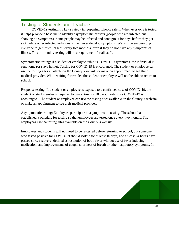### Testing of Students and Teachers

COVID-19 testing is a key strategy in reopening schools safely. When everyone is tested, it helps provide a baseline to identify asymptomatic carriers (people who are infected but showing no symptoms). Some people may be infected and contagious for days before they get sick, while other infected individuals may never develop symptoms. We will be encouraging everyone to get tested (at least every two months), even if they do not have any symptoms of illness. This bi-monthly testing will be a requirement for all staff.

Symptomatic testing: If a student or employee exhibits COVID-19 symptoms, the individual is sent home (or stays home). Testing for COVID-19 is encouraged. The student or employee can use the testing sites available on the County's website or make an appointment to see their medical provider. While waiting for results, the student or employee will not be able to return to school.

Response testing: If a student or employee is exposed to a confirmed case of COVID-19, the student or staff member is required to quarantine for 10 days. Testing for COVID-19 is encouraged. The student or employee can use the testing sites available on the County's website or make an appointment to see their medical provider.

Asymptomatic testing: Employees participate in asymptomatic testing. The school has established a schedule for testing so that employees are tested once every two months. The employees use the testing sites available on the County's website.

Employees and students will not need to be re-tested before returning to school, but someone who tested positive for COVID-19 should isolate for at least 10 days, and at least 24 hours have passed since recovery, defined as resolution of both, fever without use of fever inducing medication, and improvements of cough, shortness of breath or other respiratory symptoms. In

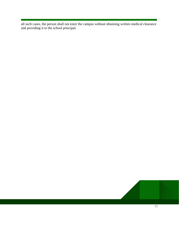all such cases, the person shall not enter the campus without obtaining written medical clearance and providing it to the school principal.

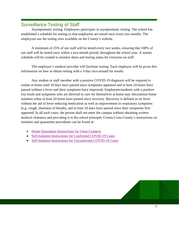#### Surveillance Testing of Staff

Asymptomatic testing: Employees participate in asymptomatic testing. The school has established a schedule for testing so that employees are tested once every two months. The employees use the testing sites available on the County's website.

A minimum of 25% of our staff will be tested every two weeks, ensuring that 100% of our staff will be tested once within a two-month period, throughout the school year. A master schedule will be created to monitor dates and testing status for everyone on staff.

The employee's medical provider will facilitate testing. Each employee will be given this information on how to obtain testing with a 3-day turn-around for results.

Any student or staff member with a positive COVID-19 diagnosis will be required to isolate at home until 10 days have passed since symptoms appeared and at least 24 hours have passed without a fever and their symptoms have improved. Employees/students with a positive test result and symptoms who are directed to care for themselves at home may discontinue home isolation when at least 24 hours have passed since recovery. Recovery is defined as no fever without the aid of fever reducing medication as well as improvement in respiratory symptoms (e.g. cough, shortness of breath), and at least 10 days have passed since their symptoms first appeared. In all such cases, the person shall not enter the campus without obtaining written medical clearance and providing it to the school principal. Contra Costa County's instructions on isolation and quarantine procedures can be found at:

- [Home Quarantine Instructions for Close Contacts](https://813dcad3-2b07-4f3f-a25e-23c48c566922.filesusr.com/ugd/84606e_35972c46450d4ed384fed499d9132ead.pdf)
- [Self-Isolation Instructions for Confirmed COVID-19 Cases](https://813dcad3-2b07-4f3f-a25e-23c48c566922.filesusr.com/ugd/84606e_1771ba8396c8490b8b034a028340fc0e.pdf)
- [Self-Isolation Instructions for Unconfirmed COVID-19 Cases](https://813dcad3-2b07-4f3f-a25e-23c48c566922.filesusr.com/ugd/84606e_47306c1b290f49239be2de094830e3ee.pdf)

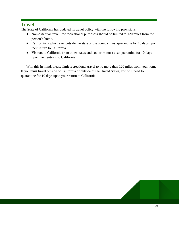#### **Travel**

The State of California has updated its travel policy with the following provisions:

- Non-essential travel (for recreational purposes) should be limited to 120 miles from the person's home.
- Californians who travel outside the state or the country must quarantine for 10 days upon their return to California.
- Visitors to California from other states and countries must also quarantine for 10 days upon their entry into California.

With this in mind, please limit recreational travel to no more than 120 miles from your home. If you must travel outside of California or outside of the United States, you will need to quarantine for 10 days upon your return to California.

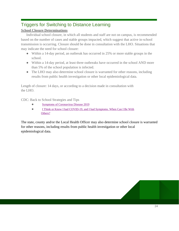# Triggers for Switching to Distance Learning

#### **School Closure Determinations**

Individual school closure, in which all students and staff are not on campus, is recommended based on the number of cases and stable groups impacted, which suggest that active in-school transmission is occurring. Closure should be done in consultation with the LHO. Situations that may indicate the need for school closure:

- Within a 14-day period, an outbreak has occurred in 25% or more stable groups in the school.
- Within a 14-day period, at least three outbreaks have occurred in the school AND more than 5% of the school population is infected.
- The LHO may also determine school closure is warranted for other reasons, including results from public health investigation or other local epidemiological data.

Length of closure: 14 days, or according to a decision made in consultation with the LHO.

CDC: Back to School Strategies and Tips

- [Symptoms of Coronavirus Disease 2019](https://www.youtube.com/watch?v=F70BzSFAZfw)
- [I Think or Know I had COVID-19, and I had Symptoms. When Can I Be With](https://www.youtube.com/watch?v=HNgDirLLZm8)  [Others?](https://www.youtube.com/watch?v=HNgDirLLZm8)

The state, county and/or the Local Health Officer may also determine school closure is warranted for other reasons, including results from public health investigation or other local epidemiological data.

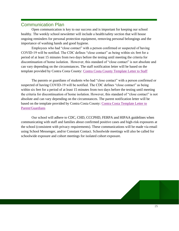#### Communication Plan

Open communication is key to our success and is important for keeping our school healthy. The weekly school newsletter will include a health/safety section that will house ongoing reminders for personal protection equipment, removing personal belongings and the importance of washing hands and good hygiene.

Employees who had "close contact" with a person confirmed or suspected of having COVID-19 will be notified. The CDC defines "close contact" as being within six feet for a period of at least 15 minutes from two days before the testing until meeting the criteria for discontinuation of home isolation. However, this standard of "close contact" is not absolute and can vary depending on the circumstances. The staff notification letter will be based on the template provided by Contra Costa County[:](https://drive.google.com/file/d/1xjkCMc1LwNLpCVBWAbmvMsaQZgqpejTP/view?usp=sharing) [Contra Costa County Template Letter to Staff](https://drive.google.com/file/d/1xjkCMc1LwNLpCVBWAbmvMsaQZgqpejTP/view?usp=sharing)

The parents or guardians of students who had "close contact" with a person confirmed or suspected of having COVID-19 will be notified. The CDC defines "close contact" as being within six feet for a period of at least 15 minutes from two days before the testing until meeting the criteria for discontinuation of home isolation. However, this standard of "close contact" is not absolute and can vary depending on the circumstances. The parent notification letter will be based on the template provided by Contra Costa County[:](https://drive.google.com/file/d/1aOrLQRpYJ-tEDT8fhDytXL5ZMqRsM6PG/view?usp=sharing) [Contra Costa Template Letter to](https://drive.google.com/file/d/1aOrLQRpYJ-tEDT8fhDytXL5ZMqRsM6PG/view?usp=sharing)  [Parent/Guardians](https://drive.google.com/file/d/1aOrLQRpYJ-tEDT8fhDytXL5ZMqRsM6PG/view?usp=sharing)

Our school will adhere to CDC, CHD, CCCPHD, FERPA and HIPAA guidelines when communicating with staff and families about confirmed positive cases and high-risk exposures at the school (consistent with privacy requirements). These communications will be made via email using School Messenger, and/or Constant Contact. Schoolwide meetings will also be called for schoolwide exposure and cohort meetings for isolated cohort exposure.